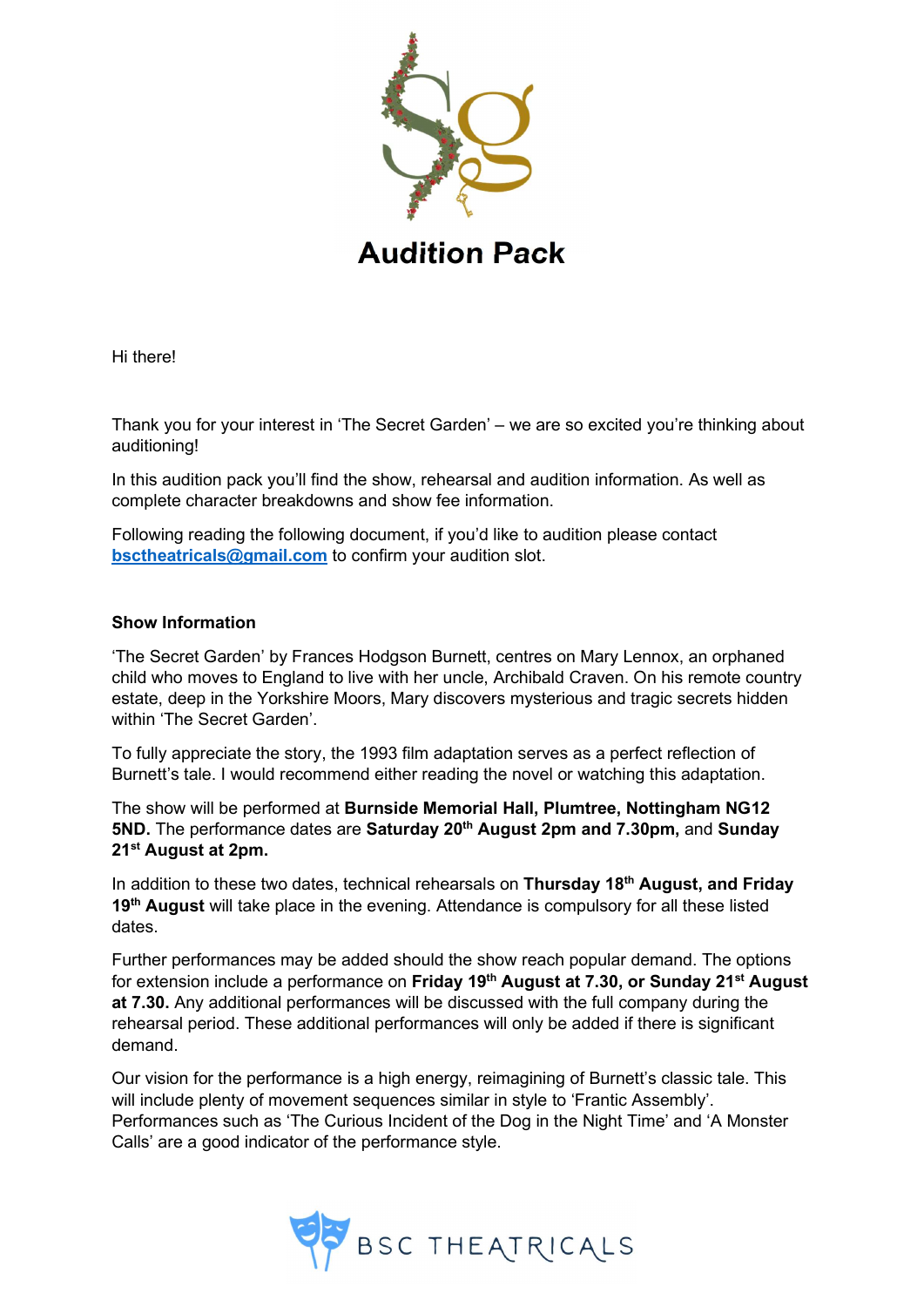

Hi there!

Thank you for your interest in 'The Secret Garden' – we are so excited you're thinking about auditioning!

In this audition pack you'll find the show, rehearsal and audition information. As well as complete character breakdowns and show fee information.

Following reading the following document, if you'd like to audition please contact bsctheatricals@gmail.com to confirm your audition slot.

## Show Information

'The Secret Garden' by Frances Hodgson Burnett, centres on Mary Lennox, an orphaned child who moves to England to live with her uncle, Archibald Craven. On his remote country estate, deep in the Yorkshire Moors, Mary discovers mysterious and tragic secrets hidden within 'The Secret Garden'.

To fully appreciate the story, the 1993 film adaptation serves as a perfect reflection of Burnett's tale. I would recommend either reading the novel or watching this adaptation.

The show will be performed at Burnside Memorial Hall, Plumtree, Nottingham NG12 5ND. The performance dates are Saturday 20<sup>th</sup> August 2pm and 7.30pm, and Sunday 21<sup>st</sup> August at 2pm.

In addition to these two dates, technical rehearsals on Thursday 18<sup>th</sup> August, and Friday 19<sup>th</sup> August will take place in the evening. Attendance is compulsory for all these listed dates.

Further performances may be added should the show reach popular demand. The options for extension include a performance on Friday 19<sup>th</sup> August at 7.30, or Sunday 21<sup>st</sup> August at 7.30. Any additional performances will be discussed with the full company during the rehearsal period. These additional performances will only be added if there is significant demand.

Our vision for the performance is a high energy, reimagining of Burnett's classic tale. This will include plenty of movement sequences similar in style to 'Frantic Assembly'. Performances such as 'The Curious Incident of the Dog in the Night Time' and 'A Monster Calls' are a good indicator of the performance style.

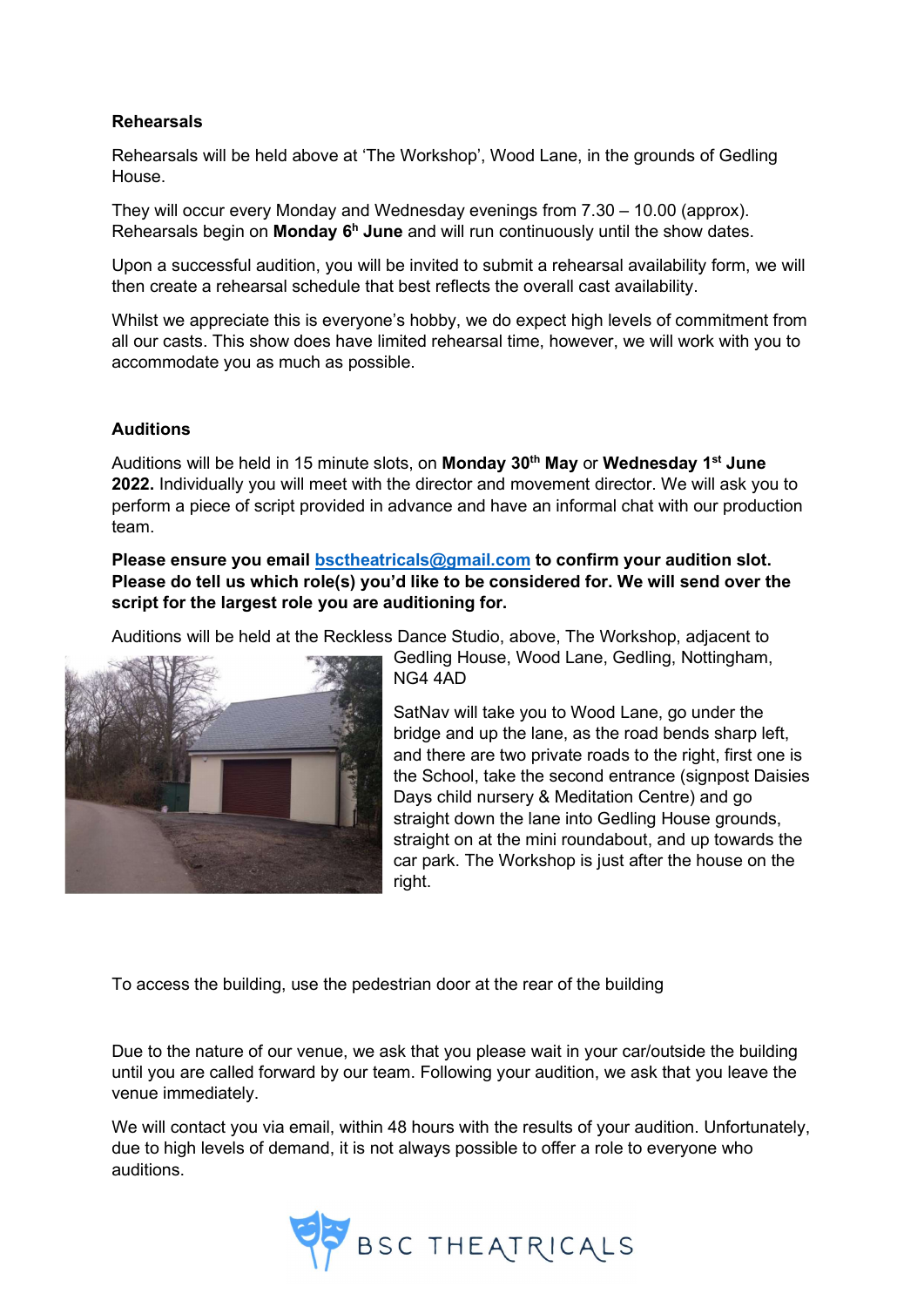## Rehearsals

Rehearsals will be held above at 'The Workshop', Wood Lane, in the grounds of Gedling House.

They will occur every Monday and Wednesday evenings from 7.30 – 10.00 (approx). Rehearsals begin on **Monday**  $6<sup>h</sup>$  **June** and will run continuously until the show dates.

Upon a successful audition, you will be invited to submit a rehearsal availability form, we will then create a rehearsal schedule that best reflects the overall cast availability.

Whilst we appreciate this is everyone's hobby, we do expect high levels of commitment from all our casts. This show does have limited rehearsal time, however, we will work with you to accommodate you as much as possible.

## **Auditions**

Auditions will be held in 15 minute slots, on Monday 30<sup>th</sup> May or Wednesday 1<sup>st</sup> June 2022. Individually you will meet with the director and movement director. We will ask you to perform a piece of script provided in advance and have an informal chat with our production team.

Please ensure you email bsctheatricals@gmail.com to confirm your audition slot. Please do tell us which role(s) you'd like to be considered for. We will send over the script for the largest role you are auditioning for.

Auditions will be held at the Reckless Dance Studio, above, The Workshop, adjacent to



Gedling House, Wood Lane, Gedling, Nottingham, NG4 4AD

SatNav will take you to Wood Lane, go under the bridge and up the lane, as the road bends sharp left, and there are two private roads to the right, first one is the School, take the second entrance (signpost Daisies Days child nursery & Meditation Centre) and go straight down the lane into Gedling House grounds, straight on at the mini roundabout, and up towards the car park. The Workshop is just after the house on the right.

To access the building, use the pedestrian door at the rear of the building

Due to the nature of our venue, we ask that you please wait in your car/outside the building until you are called forward by our team. Following your audition, we ask that you leave the venue immediately.

We will contact you via email, within 48 hours with the results of your audition. Unfortunately, due to high levels of demand, it is not always possible to offer a role to everyone who auditions.

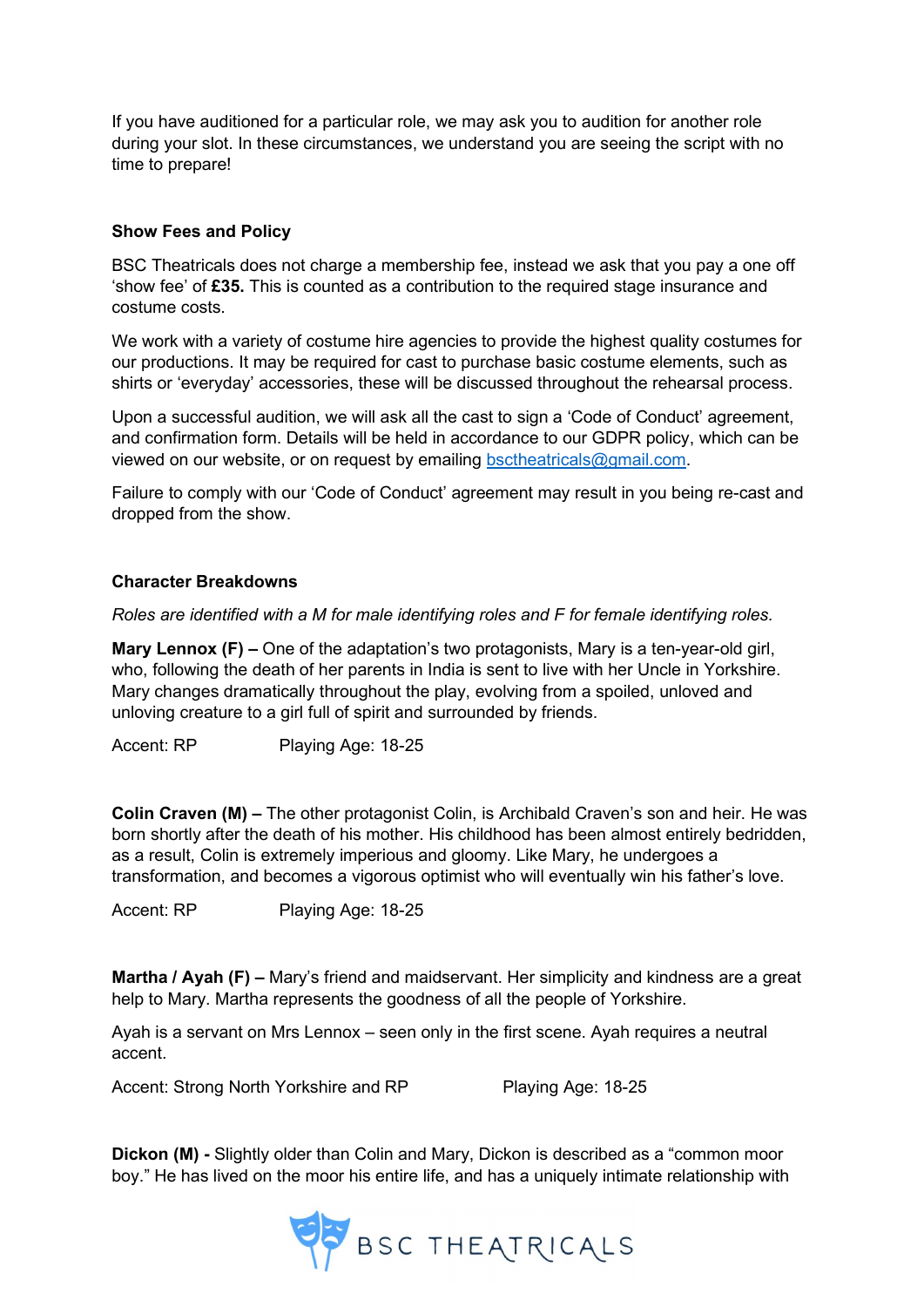If you have auditioned for a particular role, we may ask you to audition for another role during your slot. In these circumstances, we understand you are seeing the script with no time to prepare!

## Show Fees and Policy

BSC Theatricals does not charge a membership fee, instead we ask that you pay a one off 'show fee' of £35. This is counted as a contribution to the required stage insurance and costume costs.

We work with a variety of costume hire agencies to provide the highest quality costumes for our productions. It may be required for cast to purchase basic costume elements, such as shirts or 'everyday' accessories, these will be discussed throughout the rehearsal process.

Upon a successful audition, we will ask all the cast to sign a 'Code of Conduct' agreement, and confirmation form. Details will be held in accordance to our GDPR policy, which can be viewed on our website, or on request by emailing bsctheatricals@gmail.com.

Failure to comply with our 'Code of Conduct' agreement may result in you being re-cast and dropped from the show.

# Character Breakdowns

Roles are identified with a M for male identifying roles and F for female identifying roles.

**Mary Lennox (F) –** One of the adaptation's two protagonists, Mary is a ten-year-old girl, who, following the death of her parents in India is sent to live with her Uncle in Yorkshire. Mary changes dramatically throughout the play, evolving from a spoiled, unloved and unloving creature to a girl full of spirit and surrounded by friends.

Accent: RP Playing Age: 18-25

Colin Craven (M) – The other protagonist Colin, is Archibald Craven's son and heir. He was born shortly after the death of his mother. His childhood has been almost entirely bedridden, as a result, Colin is extremely imperious and gloomy. Like Mary, he undergoes a transformation, and becomes a vigorous optimist who will eventually win his father's love.

Accent: RP Playing Age: 18-25

Martha / Ayah (F) – Mary's friend and maidservant. Her simplicity and kindness are a great help to Mary. Martha represents the goodness of all the people of Yorkshire.

Ayah is a servant on Mrs Lennox – seen only in the first scene. Ayah requires a neutral accent.

Accent: Strong North Yorkshire and RP Playing Age: 18-25

Dickon (M) - Slightly older than Colin and Mary, Dickon is described as a "common moor boy." He has lived on the moor his entire life, and has a uniquely intimate relationship with

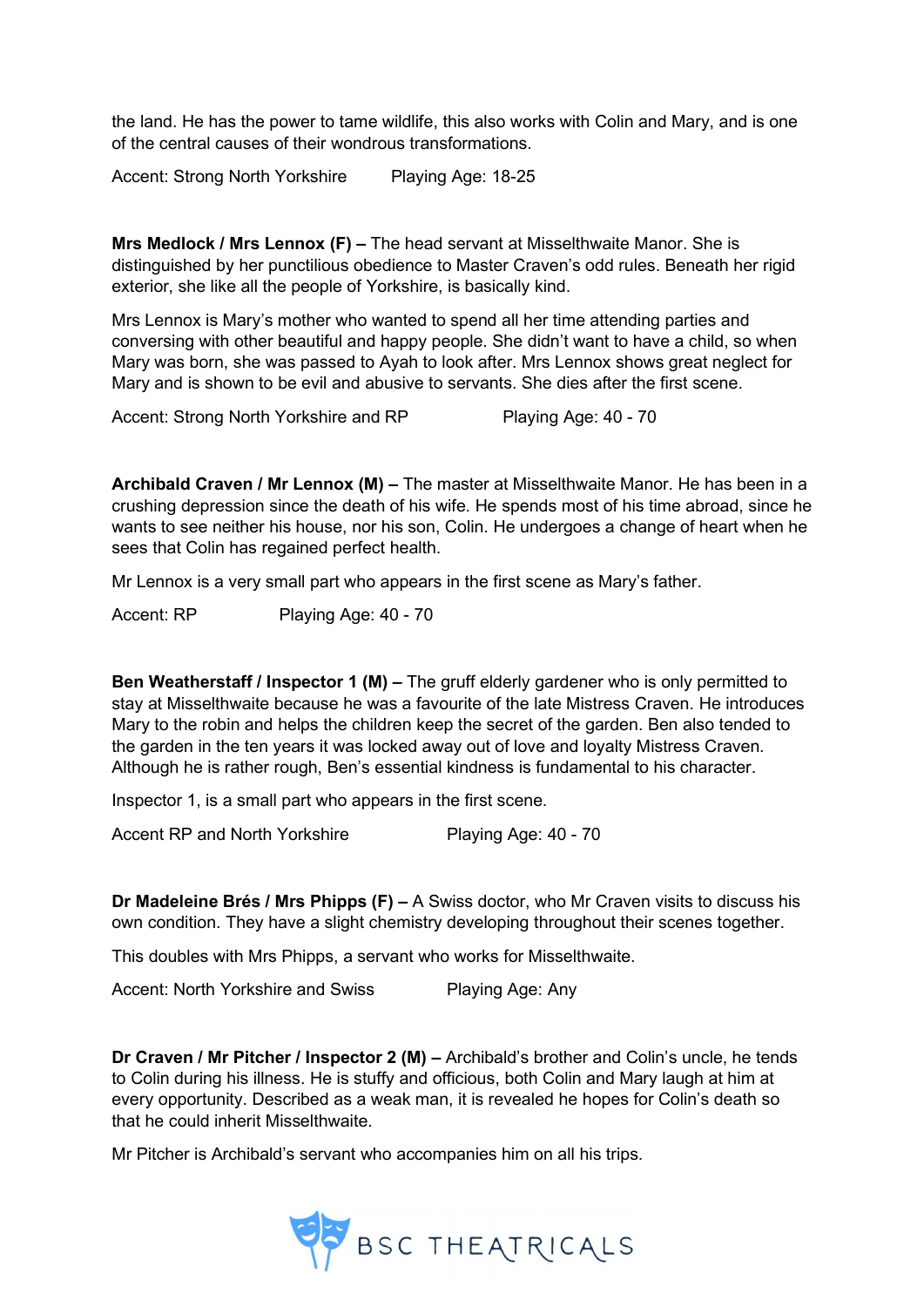the land. He has the power to tame wildlife, this also works with Colin and Mary, and is one of the central causes of their wondrous transformations.

Accent: Strong North Yorkshire Playing Age: 18-25

Mrs Medlock / Mrs Lennox (F) – The head servant at Misselthwaite Manor. She is distinguished by her punctilious obedience to Master Craven's odd rules. Beneath her rigid exterior, she like all the people of Yorkshire, is basically kind.

Mrs Lennox is Mary's mother who wanted to spend all her time attending parties and conversing with other beautiful and happy people. She didn't want to have a child, so when Mary was born, she was passed to Ayah to look after. Mrs Lennox shows great neglect for Mary and is shown to be evil and abusive to servants. She dies after the first scene.

Accent: Strong North Yorkshire and RP Playing Age: 40 - 70

Archibald Craven / Mr Lennox (M) – The master at Misselthwaite Manor. He has been in a crushing depression since the death of his wife. He spends most of his time abroad, since he wants to see neither his house, nor his son, Colin. He undergoes a change of heart when he sees that Colin has regained perfect health.

Mr Lennox is a very small part who appears in the first scene as Mary's father.

Accent: RP Playing Age: 40 - 70

Ben Weatherstaff / Inspector 1 (M) – The gruff elderly gardener who is only permitted to stay at Misselthwaite because he was a favourite of the late Mistress Craven. He introduces Mary to the robin and helps the children keep the secret of the garden. Ben also tended to the garden in the ten years it was locked away out of love and loyalty Mistress Craven. Although he is rather rough, Ben's essential kindness is fundamental to his character.

Inspector 1, is a small part who appears in the first scene.

Accent RP and North Yorkshire Playing Age: 40 - 70

**Dr Madeleine Brés / Mrs Phipps (F) – A** Swiss doctor, who Mr Craven visits to discuss his own condition. They have a slight chemistry developing throughout their scenes together.

This doubles with Mrs Phipps, a servant who works for Misselthwaite.

Accent: North Yorkshire and Swiss Playing Age: Any

Dr Craven / Mr Pitcher / Inspector 2 (M) – Archibald's brother and Colin's uncle, he tends to Colin during his illness. He is stuffy and officious, both Colin and Mary laugh at him at every opportunity. Described as a weak man, it is revealed he hopes for Colin's death so that he could inherit Misselthwaite.

Mr Pitcher is Archibald's servant who accompanies him on all his trips.